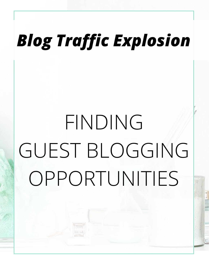# FINDING GUEST BLOGGING OPPORTUNITIES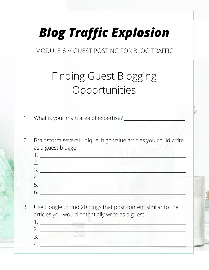MODULE 6 // GUEST POSTING FOR BLOG TRAFFIC

#### **Finding Guest Blogging** Opportunities

 $\overline{1}$ .

3.

 $2.$ Brainstorm several unique, high-value articles you could write as a guest blogger:

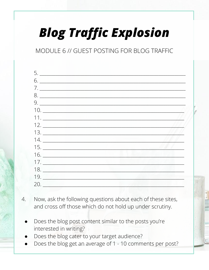MODULE 6 // GUEST POSTING FOR BLOG TRAFFIC

| 5. |                                                    |  |
|----|----------------------------------------------------|--|
| 6. | <u> 1988 - Johann Barn, mars et al.</u>            |  |
|    | 7.                                                 |  |
|    | 8.                                                 |  |
|    | 9.                                                 |  |
|    | $10. \underline{\hspace{1.5cm}}$                   |  |
|    |                                                    |  |
|    |                                                    |  |
|    |                                                    |  |
|    |                                                    |  |
|    |                                                    |  |
|    |                                                    |  |
|    |                                                    |  |
|    |                                                    |  |
|    |                                                    |  |
|    |                                                    |  |
|    | $\begin{array}{c}\n16.\n\end{array}$<br>17.<br>19. |  |

- Now, ask the following questions about each of these sites,  $4.$ and cross off those which do not hold up under scrutiny.
	- Does the blog post content similar to the posts you're interested in writing?
	- Does the blog cater to your target audience?
	- Does the blog get an average of 1 10 comments per post?